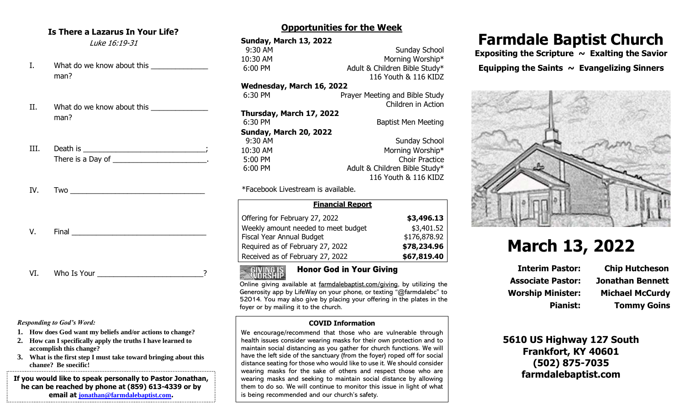### **Is There a Lazarus In Your Life?**

### Luke 16:19-31

- I. What do we know about this man?
- II. What do we know about this man?
- III. Death is \_\_\_\_\_\_\_\_\_\_\_\_\_\_\_\_\_\_\_\_\_\_\_\_\_\_\_\_\_; There is a Day of There is a Day of
- IV. Two \_\_\_\_\_\_\_\_\_\_\_\_\_\_\_\_\_\_\_\_\_\_\_\_\_\_\_\_\_\_\_\_\_

| . . | J<br>. |  |  |  |  |
|-----|--------|--|--|--|--|
|     |        |  |  |  |  |

VI. Who Is Your **William Strategy** 2

### *Responding to God's Word:*

- **1. How does God want my beliefs and/or actions to change?**
- **2. How can I specifically apply the truths I have learned to accomplish this change?**
- **3. What is the first step I must take toward bringing about this change? Be specific!**

**If you would like to speak personally to Pastor Jonathan, he can be reached by phone at (859) 613-4339 or by email at [jonathan@farmdalebaptist.com](mailto:jonathan@farmdalebaptist.com).**

# **Opportunities for the Week**

| Sunday, March 13, 2022    |                                |
|---------------------------|--------------------------------|
| 9:30 AM                   | <b>Sunday School</b>           |
| 10:30 AM                  | Morning Worship*               |
| 6:00 PM                   | Adult & Children Bible Study*  |
|                           | 116 Youth & 116 KIDZ           |
| Wednesday, March 16, 2022 |                                |
| 6:30 PM                   | Prayer Meeting and Bible Study |
|                           | Children in Action             |
| Thursday, March 17, 2022  |                                |
| 6:30 PM                   | <b>Baptist Men Meeting</b>     |
| Sunday, March 20, 2022    |                                |
| 9:30 AM                   | <b>Sunday School</b>           |
| 10:30 AM                  | Morning Worship*               |
| 5:00 PM                   | <b>Choir Practice</b>          |
| 6:00 PM                   | Adult & Children Bible Study*  |
|                           | 116 Youth & 116 KIDZ           |
| *Feedeed: Lineabuseus i   |                                |

\*Facebook Livestream is available.

| <b>Financial Report</b>             |              |  |  |
|-------------------------------------|--------------|--|--|
| Offering for February 27, 2022      | \$3,496.13   |  |  |
| Weekly amount needed to meet budget | \$3,401.52   |  |  |
| Fiscal Year Annual Budget           | \$176,878.92 |  |  |
| Required as of February 27, 2022    | \$78,234.96  |  |  |
| Received as of February 27, 2022    | \$67,819.40  |  |  |

### Honor God in Your GivingGIVING IS<br>Worship

Online giving available at farmdalebaptist.com/giving, by utilizing the Generosity app by LifeWay on your phone, or texting "@farmdalebc" to 52014. You may also give by placing your offering in the plates in the foyer or by mailing it to the church.

### **COVID Information**

We encourage/recommend that those who are vulnerable through health issues consider wearing masks for their own protection and to maintain social distancing as you gather for church functions. We will have the left side of the sanctuary (from the foyer) roped off for social distance seating for those who would like to use it. We should consider wearing masks for the sake of others and respect those who are wearing masks and seeking to maintain social distance by allowing them to do so. We will continue to monitor this issue in light of what is being recommended and our church's safety.

# **Farmdale Baptist Church**

Expositing the Scripture ~ Exalting the Savior Equipping the Saints  $\sim$  Evangelizing Sinners



# **March 13, 2022**

**Associate Pastor: Jonathan Bennett Worship Minister: Michael McCurdy**

**Interim Pastor: Chip Hutcheson Pianist: Tommy Goins**

**5610 US Highway 127 South Frankfort, KY 40601 (502) 875-7035 farmdalebaptist.com**